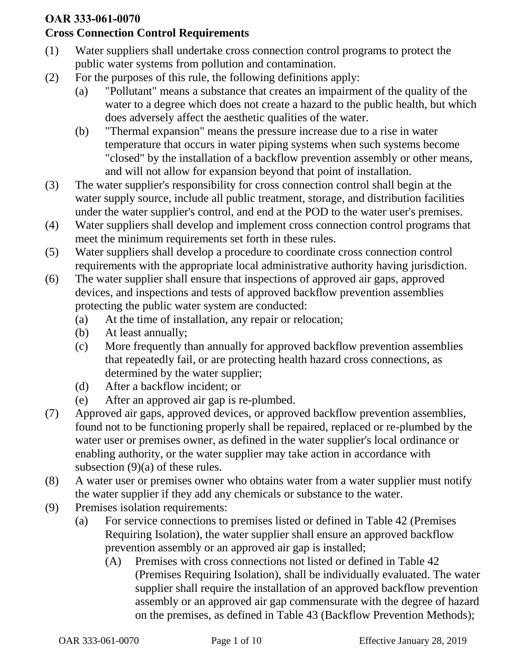## **OAR 333-061-0070**

## **Cross Connection Control Requirements**

- (1) Water suppliers shall undertake cross connection control programs to protect the public water systems from pollution and contamination.
- (2) For the purposes of this rule, the following definitions apply:
	- (a) "Pollutant" means a substance that creates an impairment of the quality of the water to a degree which does not create a hazard to the public health, but which does adversely affect the aesthetic qualities of the water.
	- (b) "Thermal expansion" means the pressure increase due to a rise in water temperature that occurs in water piping systems when such systems become "closed" by the installation of a backflow prevention assembly or other means, and will not allow for expansion beyond that point of installation.
- (3) The water supplier's responsibility for cross connection control shall begin at the water supply source, include all public treatment, storage, and distribution facilities under the water supplier's control, and end at the POD to the water user's premises.
- (4) Water suppliers shall develop and implement cross connection control programs that meet the minimum requirements set forth in these rules.
- (5) Water suppliers shall develop a procedure to coordinate cross connection control requirements with the appropriate local administrative authority having jurisdiction.
- (6) The water supplier shall ensure that inspections of approved air gaps, approved devices, and inspections and tests of approved backflow prevention assemblies protecting the public water system are conducted:
	- (a) At the time of installation, any repair or relocation;
	- (b) At least annually;
	- (c) More frequently than annually for approved backflow prevention assemblies that repeatedly fail, or are protecting health hazard cross connections, as determined by the water supplier;
	- (d) After a backflow incident; or
	- (e) After an approved air gap is re-plumbed.
- (7) Approved air gaps, approved devices, or approved backflow prevention assemblies, found not to be functioning properly shall be repaired, replaced or re-plumbed by the water user or premises owner, as defined in the water supplier's local ordinance or enabling authority, or the water supplier may take action in accordance with subsection (9)(a) of these rules.
- (8) A water user or premises owner who obtains water from a water supplier must notify the water supplier if they add any chemicals or substance to the water.
- (9) Premises isolation requirements:
	- (a) For service connections to premises listed or defined in Table 42 (Premises Requiring Isolation), the water supplier shall ensure an approved backflow prevention assembly or an approved air gap is installed;
		- (A) Premises with cross connections not listed or defined in Table 42 (Premises Requiring Isolation), shall be individually evaluated. The water supplier shall require the installation of an approved backflow prevention assembly or an approved air gap commensurate with the degree of hazard on the premises, as defined in Table 43 (Backflow Prevention Methods);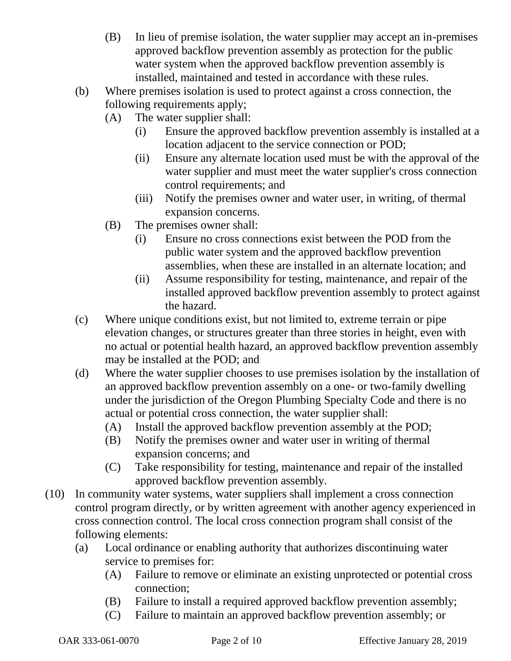- (B) In lieu of premise isolation, the water supplier may accept an in-premises approved backflow prevention assembly as protection for the public water system when the approved backflow prevention assembly is installed, maintained and tested in accordance with these rules.
- (b) Where premises isolation is used to protect against a cross connection, the following requirements apply;
	- (A) The water supplier shall:
		- (i) Ensure the approved backflow prevention assembly is installed at a location adjacent to the service connection or POD;
		- (ii) Ensure any alternate location used must be with the approval of the water supplier and must meet the water supplier's cross connection control requirements; and
		- (iii) Notify the premises owner and water user, in writing, of thermal expansion concerns.
	- (B) The premises owner shall:
		- (i) Ensure no cross connections exist between the POD from the public water system and the approved backflow prevention assemblies, when these are installed in an alternate location; and
		- (ii) Assume responsibility for testing, maintenance, and repair of the installed approved backflow prevention assembly to protect against the hazard.
- (c) Where unique conditions exist, but not limited to, extreme terrain or pipe elevation changes, or structures greater than three stories in height, even with no actual or potential health hazard, an approved backflow prevention assembly may be installed at the POD; and
- (d) Where the water supplier chooses to use premises isolation by the installation of an approved backflow prevention assembly on a one- or two-family dwelling under the jurisdiction of the Oregon Plumbing Specialty Code and there is no actual or potential cross connection, the water supplier shall:
	- (A) Install the approved backflow prevention assembly at the POD;
	- (B) Notify the premises owner and water user in writing of thermal expansion concerns; and
	- (C) Take responsibility for testing, maintenance and repair of the installed approved backflow prevention assembly.
- (10) In community water systems, water suppliers shall implement a cross connection control program directly, or by written agreement with another agency experienced in cross connection control. The local cross connection program shall consist of the following elements:
	- (a) Local ordinance or enabling authority that authorizes discontinuing water service to premises for:
		- (A) Failure to remove or eliminate an existing unprotected or potential cross connection;
		- (B) Failure to install a required approved backflow prevention assembly;
		- (C) Failure to maintain an approved backflow prevention assembly; or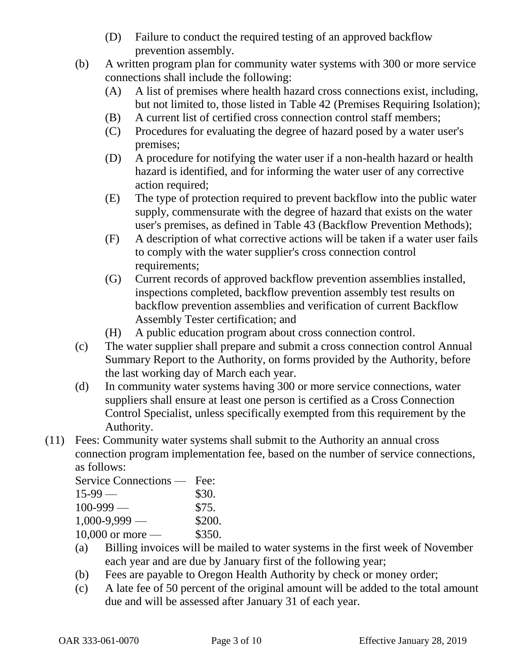- (D) Failure to conduct the required testing of an approved backflow prevention assembly.
- (b) A written program plan for community water systems with 300 or more service connections shall include the following:
	- (A) A list of premises where health hazard cross connections exist, including, but not limited to, those listed in Table 42 (Premises Requiring Isolation);
	- (B) A current list of certified cross connection control staff members;
	- (C) Procedures for evaluating the degree of hazard posed by a water user's premises;
	- (D) A procedure for notifying the water user if a non-health hazard or health hazard is identified, and for informing the water user of any corrective action required;
	- (E) The type of protection required to prevent backflow into the public water supply, commensurate with the degree of hazard that exists on the water user's premises, as defined in Table 43 (Backflow Prevention Methods);
	- (F) A description of what corrective actions will be taken if a water user fails to comply with the water supplier's cross connection control requirements;
	- (G) Current records of approved backflow prevention assemblies installed, inspections completed, backflow prevention assembly test results on backflow prevention assemblies and verification of current Backflow Assembly Tester certification; and
	- (H) A public education program about cross connection control.
- (c) The water supplier shall prepare and submit a cross connection control Annual Summary Report to the Authority, on forms provided by the Authority, before the last working day of March each year.
- (d) In community water systems having 300 or more service connections, water suppliers shall ensure at least one person is certified as a Cross Connection Control Specialist, unless specifically exempted from this requirement by the Authority.
- (11) Fees: Community water systems shall submit to the Authority an annual cross connection program implementation fee, based on the number of service connections, as follows:

| Service Connections — | Fee:   |
|-----------------------|--------|
| $15-99$ —             | \$30.  |
| $100 - 999$ —         | \$75.  |
| $1,000 - 9,999$ -     | \$200. |
| $10,000$ or more —    | \$350. |

- (a) Billing invoices will be mailed to water systems in the first week of November each year and are due by January first of the following year;
- (b) Fees are payable to Oregon Health Authority by check or money order;
- (c) A late fee of 50 percent of the original amount will be added to the total amount due and will be assessed after January 31 of each year.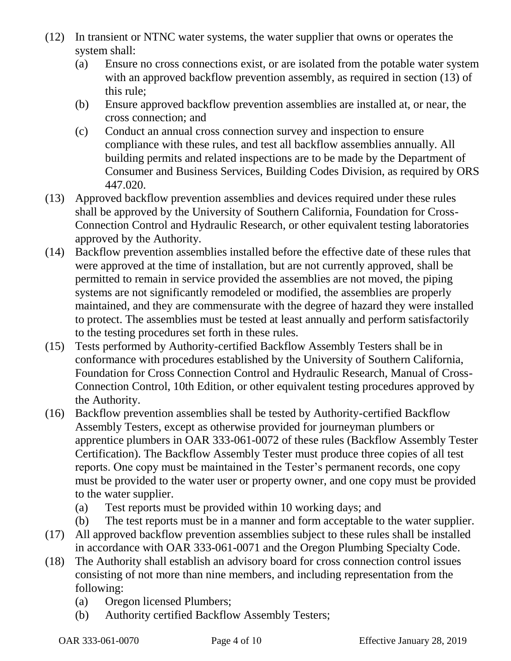- (12) In transient or NTNC water systems, the water supplier that owns or operates the system shall:
	- (a) Ensure no cross connections exist, or are isolated from the potable water system with an approved backflow prevention assembly, as required in section (13) of this rule;
	- (b) Ensure approved backflow prevention assemblies are installed at, or near, the cross connection; and
	- (c) Conduct an annual cross connection survey and inspection to ensure compliance with these rules, and test all backflow assemblies annually. All building permits and related inspections are to be made by the Department of Consumer and Business Services, Building Codes Division, as required by ORS 447.020.
- (13) Approved backflow prevention assemblies and devices required under these rules shall be approved by the University of Southern California, Foundation for Cross-Connection Control and Hydraulic Research, or other equivalent testing laboratories approved by the Authority.
- (14) Backflow prevention assemblies installed before the effective date of these rules that were approved at the time of installation, but are not currently approved, shall be permitted to remain in service provided the assemblies are not moved, the piping systems are not significantly remodeled or modified, the assemblies are properly maintained, and they are commensurate with the degree of hazard they were installed to protect. The assemblies must be tested at least annually and perform satisfactorily to the testing procedures set forth in these rules.
- (15) Tests performed by Authority-certified Backflow Assembly Testers shall be in conformance with procedures established by the University of Southern California, Foundation for Cross Connection Control and Hydraulic Research, Manual of Cross-Connection Control, 10th Edition, or other equivalent testing procedures approved by the Authority.
- (16) Backflow prevention assemblies shall be tested by Authority-certified Backflow Assembly Testers, except as otherwise provided for journeyman plumbers or apprentice plumbers in OAR 333-061-0072 of these rules (Backflow Assembly Tester Certification). The Backflow Assembly Tester must produce three copies of all test reports. One copy must be maintained in the Tester's permanent records, one copy must be provided to the water user or property owner, and one copy must be provided to the water supplier.
	- (a) Test reports must be provided within 10 working days; and
	- (b) The test reports must be in a manner and form acceptable to the water supplier.
- (17) All approved backflow prevention assemblies subject to these rules shall be installed in accordance with OAR 333-061-0071 and the Oregon Plumbing Specialty Code.
- (18) The Authority shall establish an advisory board for cross connection control issues consisting of not more than nine members, and including representation from the following:
	- (a) Oregon licensed Plumbers;
	- (b) Authority certified Backflow Assembly Testers;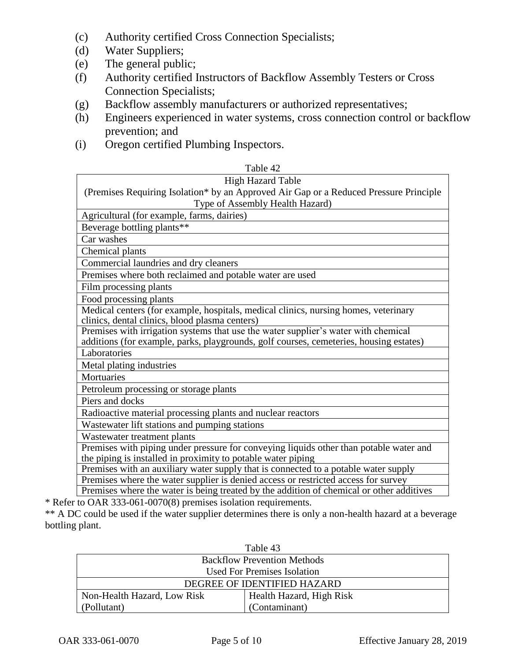- (c) Authority certified Cross Connection Specialists;
- (d) Water Suppliers;
- (e) The general public;
- (f) Authority certified Instructors of Backflow Assembly Testers or Cross Connection Specialists;
- (g) Backflow assembly manufacturers or authorized representatives;
- (h) Engineers experienced in water systems, cross connection control or backflow prevention; and
- (i) Oregon certified Plumbing Inspectors.

| Table 42                                                                                                                                                                     |
|------------------------------------------------------------------------------------------------------------------------------------------------------------------------------|
| <b>High Hazard Table</b>                                                                                                                                                     |
| (Premises Requiring Isolation* by an Approved Air Gap or a Reduced Pressure Principle                                                                                        |
| Type of Assembly Health Hazard)                                                                                                                                              |
| Agricultural (for example, farms, dairies)                                                                                                                                   |
| Beverage bottling plants**                                                                                                                                                   |
| Car washes                                                                                                                                                                   |
| Chemical plants                                                                                                                                                              |
| Commercial laundries and dry cleaners                                                                                                                                        |
| Premises where both reclaimed and potable water are used                                                                                                                     |
| Film processing plants                                                                                                                                                       |
| Food processing plants                                                                                                                                                       |
| Medical centers (for example, hospitals, medical clinics, nursing homes, veterinary<br>clinics, dental clinics, blood plasma centers)                                        |
| Premises with irrigation systems that use the water supplier's water with chemical<br>additions (for example, parks, playgrounds, golf courses, cemeteries, housing estates) |
| Laboratories                                                                                                                                                                 |
| Metal plating industries                                                                                                                                                     |
| Mortuaries                                                                                                                                                                   |
| Petroleum processing or storage plants                                                                                                                                       |
| Piers and docks                                                                                                                                                              |
| Radioactive material processing plants and nuclear reactors                                                                                                                  |
| Wastewater lift stations and pumping stations                                                                                                                                |
| Wastewater treatment plants                                                                                                                                                  |
| Premises with piping under pressure for conveying liquids other than potable water and<br>the piping is installed in proximity to potable water piping                       |
| Premises with an auxiliary water supply that is connected to a potable water supply                                                                                          |
| Premises where the water supplier is denied access or restricted access for survey                                                                                           |
| Premises where the water is being treated by the addition of chemical or other additives                                                                                     |

\* Refer to OAR 333-061-0070(8) premises isolation requirements.

\*\* A DC could be used if the water supplier determines there is only a non-health hazard at a beverage bottling plant.

| Table 43                           |                          |  |
|------------------------------------|--------------------------|--|
| <b>Backflow Prevention Methods</b> |                          |  |
| <b>Used For Premises Isolation</b> |                          |  |
| DEGREE OF IDENTIFIED HAZARD        |                          |  |
| Non-Health Hazard, Low Risk        | Health Hazard, High Risk |  |
| (Pollutant)                        | (Contaminant)            |  |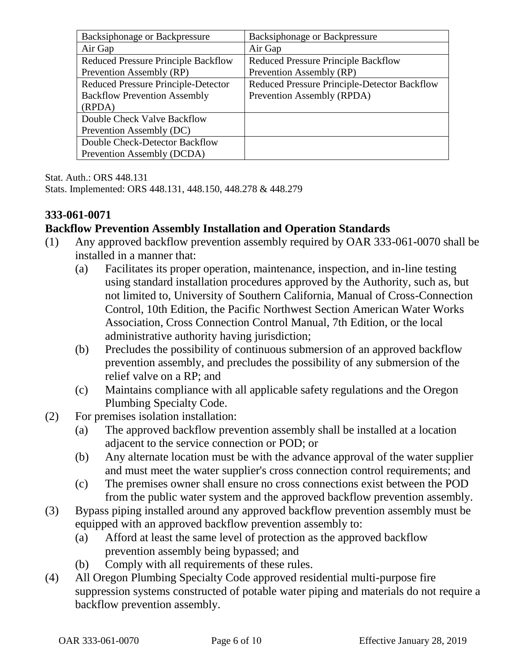| Backsiphonage or Backpressure              | <b>Backsiphonage or Backpressure</b>         |
|--------------------------------------------|----------------------------------------------|
| Air Gap                                    | Air Gap                                      |
| <b>Reduced Pressure Principle Backflow</b> | <b>Reduced Pressure Principle Backflow</b>   |
| Prevention Assembly (RP)                   | Prevention Assembly (RP)                     |
| <b>Reduced Pressure Principle-Detector</b> | Reduced Pressure Principle-Detector Backflow |
| <b>Backflow Prevention Assembly</b>        | Prevention Assembly (RPDA)                   |
| (RPDA)                                     |                                              |
| Double Check Valve Backflow                |                                              |
| Prevention Assembly (DC)                   |                                              |
| Double Check-Detector Backflow             |                                              |
| Prevention Assembly (DCDA)                 |                                              |

Stat. Auth.: ORS 448.131 Stats. Implemented: ORS 448.131, 448.150, 448.278 & 448.279

## **333-061-0071**

## **Backflow Prevention Assembly Installation and Operation Standards**

- (1) Any approved backflow prevention assembly required by OAR 333-061-0070 shall be installed in a manner that:
	- (a) Facilitates its proper operation, maintenance, inspection, and in-line testing using standard installation procedures approved by the Authority, such as, but not limited to, University of Southern California, Manual of Cross-Connection Control, 10th Edition, the Pacific Northwest Section American Water Works Association, Cross Connection Control Manual, 7th Edition, or the local administrative authority having jurisdiction;
	- (b) Precludes the possibility of continuous submersion of an approved backflow prevention assembly, and precludes the possibility of any submersion of the relief valve on a RP; and
	- (c) Maintains compliance with all applicable safety regulations and the Oregon Plumbing Specialty Code.
- (2) For premises isolation installation:
	- (a) The approved backflow prevention assembly shall be installed at a location adjacent to the service connection or POD; or
	- (b) Any alternate location must be with the advance approval of the water supplier and must meet the water supplier's cross connection control requirements; and
	- (c) The premises owner shall ensure no cross connections exist between the POD from the public water system and the approved backflow prevention assembly.
- (3) Bypass piping installed around any approved backflow prevention assembly must be equipped with an approved backflow prevention assembly to:
	- (a) Afford at least the same level of protection as the approved backflow prevention assembly being bypassed; and
	- (b) Comply with all requirements of these rules.
- (4) All Oregon Plumbing Specialty Code approved residential multi-purpose fire suppression systems constructed of potable water piping and materials do not require a backflow prevention assembly.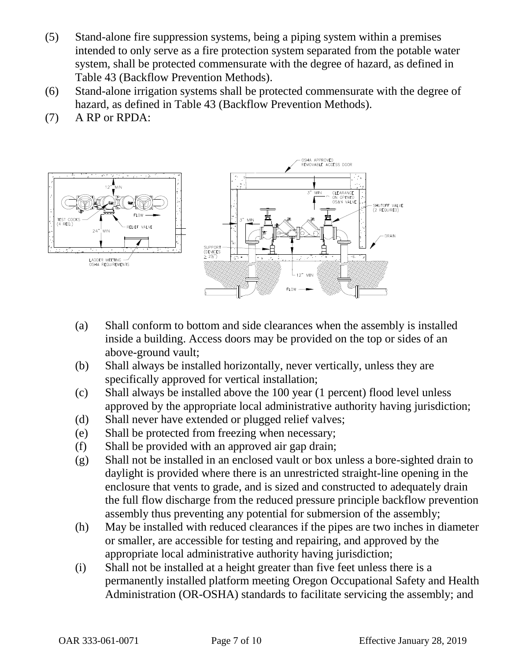- (5) Stand-alone fire suppression systems, being a piping system within a premises intended to only serve as a fire protection system separated from the potable water system, shall be protected commensurate with the degree of hazard, as defined in Table 43 (Backflow Prevention Methods).
- (6) Stand-alone irrigation systems shall be protected commensurate with the degree of hazard, as defined in Table 43 (Backflow Prevention Methods).
- (7) A RP or RPDA:



- (a) Shall conform to bottom and side clearances when the assembly is installed inside a building. Access doors may be provided on the top or sides of an above-ground vault;
- (b) Shall always be installed horizontally, never vertically, unless they are specifically approved for vertical installation;
- (c) Shall always be installed above the 100 year (1 percent) flood level unless approved by the appropriate local administrative authority having jurisdiction;
- (d) Shall never have extended or plugged relief valves;
- (e) Shall be protected from freezing when necessary;
- (f) Shall be provided with an approved air gap drain;
- (g) Shall not be installed in an enclosed vault or box unless a bore-sighted drain to daylight is provided where there is an unrestricted straight-line opening in the enclosure that vents to grade, and is sized and constructed to adequately drain the full flow discharge from the reduced pressure principle backflow prevention assembly thus preventing any potential for submersion of the assembly;
- (h) May be installed with reduced clearances if the pipes are two inches in diameter or smaller, are accessible for testing and repairing, and approved by the appropriate local administrative authority having jurisdiction;
- (i) Shall not be installed at a height greater than five feet unless there is a permanently installed platform meeting Oregon Occupational Safety and Health Administration (OR-OSHA) standards to facilitate servicing the assembly; and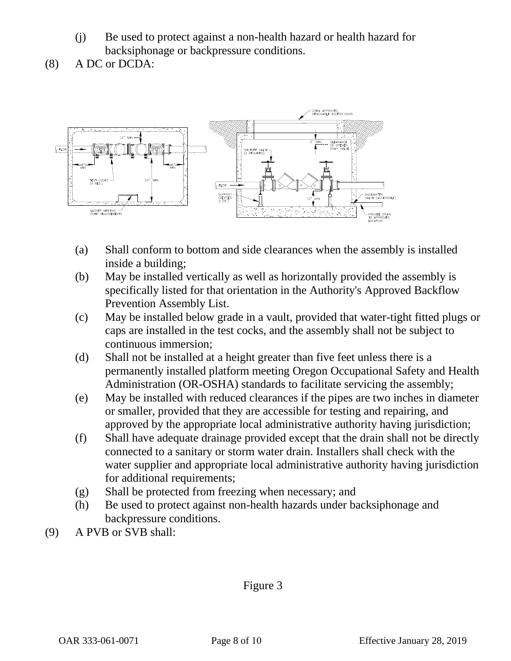- (j) Be used to protect against a non-health hazard or health hazard for backsiphonage or backpressure conditions.
- (8) A DC or DCDA:



- (a) Shall conform to bottom and side clearances when the assembly is installed inside a building;
- (b) May be installed vertically as well as horizontally provided the assembly is specifically listed for that orientation in the Authority's Approved Backflow Prevention Assembly List.
- (c) May be installed below grade in a vault, provided that water-tight fitted plugs or caps are installed in the test cocks, and the assembly shall not be subject to continuous immersion;
- (d) Shall not be installed at a height greater than five feet unless there is a permanently installed platform meeting Oregon Occupational Safety and Health Administration (OR-OSHA) standards to facilitate servicing the assembly;
- (e) May be installed with reduced clearances if the pipes are two inches in diameter or smaller, provided that they are accessible for testing and repairing, and approved by the appropriate local administrative authority having jurisdiction;
- (f) Shall have adequate drainage provided except that the drain shall not be directly connected to a sanitary or storm water drain. Installers shall check with the water supplier and appropriate local administrative authority having jurisdiction for additional requirements;
- (g) Shall be protected from freezing when necessary; and
- (h) Be used to protect against non-health hazards under backsiphonage and backpressure conditions.
- (9) A PVB or SVB shall:

Figure 3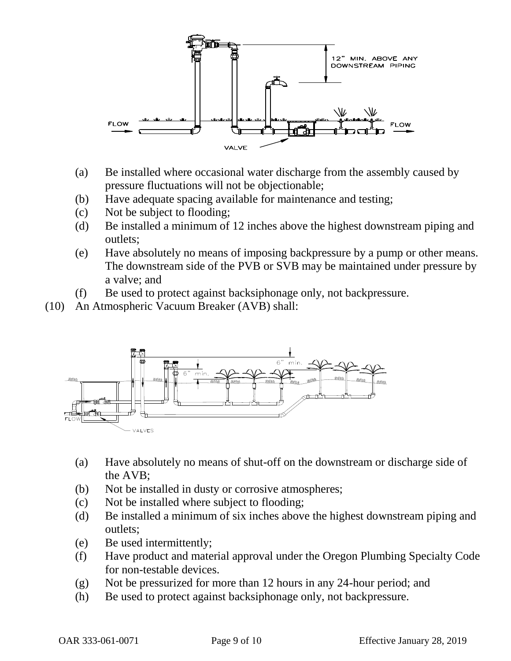

- (a) Be installed where occasional water discharge from the assembly caused by pressure fluctuations will not be objectionable;
- (b) Have adequate spacing available for maintenance and testing;
- (c) Not be subject to flooding;
- (d) Be installed a minimum of 12 inches above the highest downstream piping and outlets;
- (e) Have absolutely no means of imposing backpressure by a pump or other means. The downstream side of the PVB or SVB may be maintained under pressure by a valve; and
- (f) Be used to protect against backsiphonage only, not backpressure.
- (10) An Atmospheric Vacuum Breaker (AVB) shall:



- (a) Have absolutely no means of shut-off on the downstream or discharge side of the AVB;
- (b) Not be installed in dusty or corrosive atmospheres;
- (c) Not be installed where subject to flooding;
- (d) Be installed a minimum of six inches above the highest downstream piping and outlets;
- (e) Be used intermittently;
- (f) Have product and material approval under the Oregon Plumbing Specialty Code for non-testable devices.
- (g) Not be pressurized for more than 12 hours in any 24-hour period; and
- (h) Be used to protect against backsiphonage only, not backpressure.